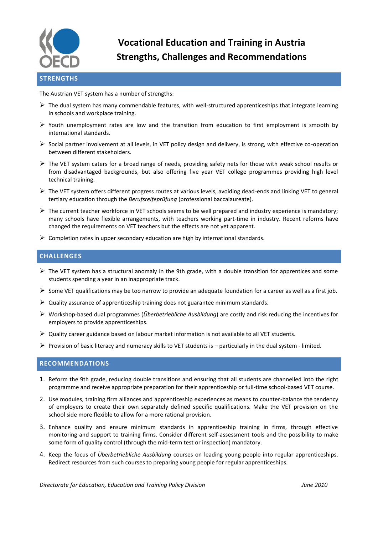

# **Vocational Education and Training in Austria Strengths, Challenges and Recommendations**

#### The Austrian VET system has a number of strengths:

- $\triangleright$  The dual system has many commendable features, with well-structured apprenticeships that integrate learning in schools and workplace training.
- $\triangleright$  Youth unemployment rates are low and the transition from education to first employment is smooth by international standards.
- Social partner involvement at all levels, in VET policy design and delivery, is strong, with effective co-operation between different stakeholders.
- $\triangleright$  The VET system caters for a broad range of needs, providing safety nets for those with weak school results or from disadvantaged backgrounds, but also offering five year VET college programmes providing high level technical training.
- $\triangleright$  The VET system offers different progress routes at various levels, avoiding dead-ends and linking VET to general tertiary education through the *Berufsreifeprüfung* (professional baccalaureate).
- $\triangleright$  The current teacher workforce in VET schools seems to be well prepared and industry experience is mandatory; many schools have flexible arrangements, with teachers working part-time in industry. Recent reforms have changed the requirements on VET teachers but the effects are not yet apparent.
- $\triangleright$  Completion rates in upper secondary education are high by international standards.

## **CHALLENGES**

- $\triangleright$  The VET system has a structural anomaly in the 9th grade, with a double transition for apprentices and some students spending a year in an inappropriate track.
- Some VET qualifications may be too narrow to provide an adequate foundation for a career as well as a first job.
- $\triangleright$  Quality assurance of apprenticeship training does not guarantee minimum standards.
- Workshop-based dual programmes (*Überbetriebliche Ausbildung*) are costly and risk reducing the incentives for employers to provide apprenticeships.
- $\triangleright$  Quality career guidance based on labour market information is not available to all VET students.
- Provision of basic literacy and numeracy skills to VET students is  $-$  particularly in the dual system limited.

## **RECOMMENDATIONS**

- 1. Reform the 9th grade, reducing double transitions and ensuring that all students are channelled into the right programme and receive appropriate preparation for their apprenticeship or full-time school-based VET course.
- 2. Use modules, training firm alliances and apprenticeship experiences as means to counter-balance the tendency of employers to create their own separately defined specific qualifications. Make the VET provision on the school side more flexible to allow for a more rational provision.
- 3. Enhance quality and ensure minimum standards in apprenticeship training in firms, through effective monitoring and support to training firms. Consider different self-assessment tools and the possibility to make some form of quality control (through the mid-term test or inspection) mandatory.
- 4. Keep the focus of *Überbetriebliche Ausbildung* courses on leading young people into regular apprenticeships. Redirect resources from such courses to preparing young people for regular apprenticeships.

*Directorate for Education, Education and Training Policy Division June 2010*